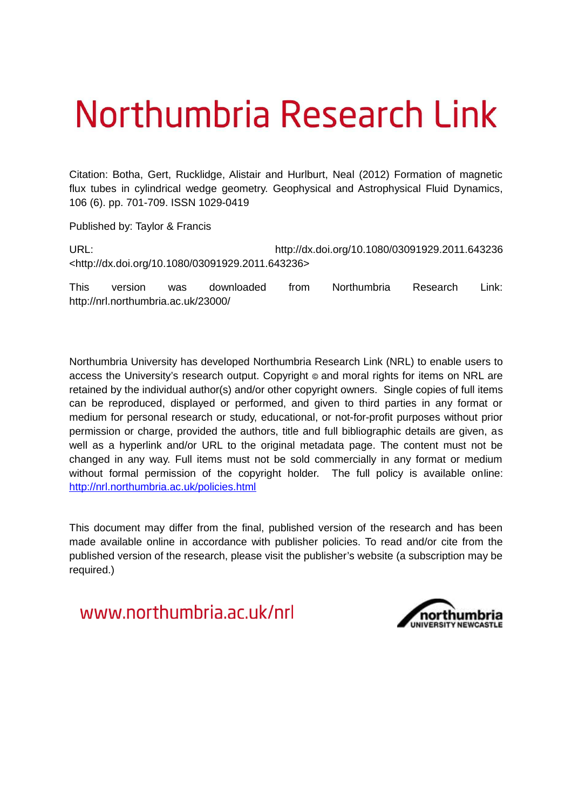# Northumbria Research Link

Citation: Botha, Gert, Rucklidge, Alistair and Hurlburt, Neal (2012) Formation of magnetic flux tubes in cylindrical wedge geometry. Geophysical and Astrophysical Fluid Dynamics, 106 (6). pp. 701-709. ISSN 1029-0419

Published by: Taylor & Francis

URL: http://dx.doi.org/10.1080/03091929.2011.643236 <http://dx.doi.org/10.1080/03091929.2011.643236>

This version was downloaded from Northumbria Research Link: http://nrl.northumbria.ac.uk/23000/

Northumbria University has developed Northumbria Research Link (NRL) to enable users to access the University's research output. Copyright  $\circ$  and moral rights for items on NRL are retained by the individual author(s) and/or other copyright owners. Single copies of full items can be reproduced, displayed or performed, and given to third parties in any format or medium for personal research or study, educational, or not-for-profit purposes without prior permission or charge, provided the authors, title and full bibliographic details are given, as well as a hyperlink and/or URL to the original metadata page. The content must not be changed in any way. Full items must not be sold commercially in any format or medium without formal permission of the copyright holder. The full policy is available online: <http://nrl.northumbria.ac.uk/policies.html>

This document may differ from the final, published version of the research and has been made available online in accordance with publisher policies. To read and/or cite from the published version of the research, please visit the publisher's website (a subscription may be required.)

www.northumbria.ac.uk/nrl

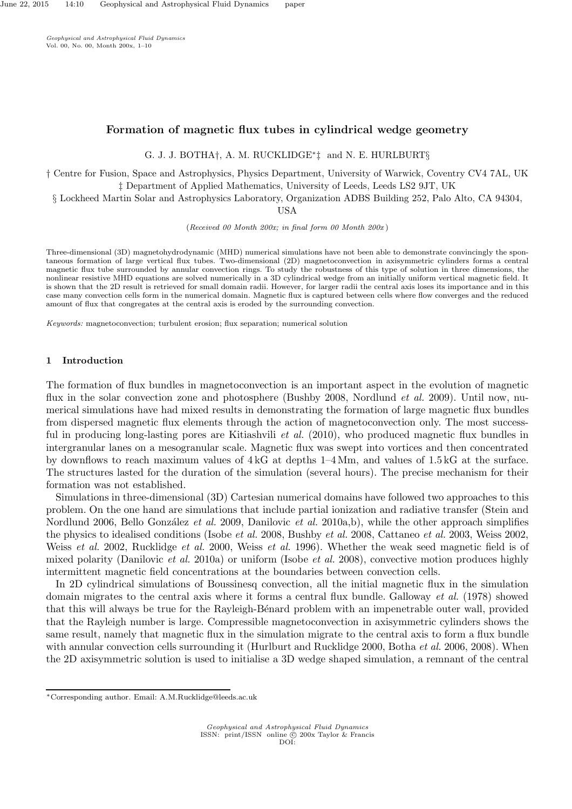Geophysical and Astrophysical Fluid Dynamics Vol. 00, No. 00, Month 200x, 1–10

# Formation of magnetic flux tubes in cylindrical wedge geometry

G. J. J. BOTHA†, A. M. RUCKLIDGE<sup>\*</sup>‡ and N. E. HURLBURT§

† Centre for Fusion, Space and Astrophysics, Physics Department, University of Warwick, Coventry CV4 7AL, UK ‡ Department of Applied Mathematics, University of Leeds, Leeds LS2 9JT, UK

§ Lockheed Martin Solar and Astrophysics Laboratory, Organization ADBS Building 252, Palo Alto, CA 94304,

USA

(Received 00 Month 200x; in final form 00 Month  $200x$ )

Three-dimensional (3D) magnetohydrodynamic (MHD) numerical simulations have not been able to demonstrate convincingly the spontaneous formation of large vertical flux tubes. Two-dimensional (2D) magnetoconvection in axisymmetric cylinders forms a central magnetic flux tube surrounded by annular convection rings. To study the robustness of this type of solution in three dimensions, the nonlinear resistive MHD equations are solved numerically in a 3D cylindrical wedge from an initially uniform vertical magnetic field. It is shown that the 2D result is retrieved for small domain radii. However, for larger radii the central axis loses its importance and in this case many convection cells form in the numerical domain. Magnetic flux is captured between cells where flow converges and the reduced amount of flux that congregates at the central axis is eroded by the surrounding convection.

Keywords: magnetoconvection; turbulent erosion; flux separation; numerical solution

## 1 Introduction

The formation of flux bundles in magnetoconvection is an important aspect in the evolution of magnetic flux in the solar convection zone and photosphere (Bushby 2008, Nordlund *et al.* 2009). Until now, numerical simulations have had mixed results in demonstrating the formation of large magnetic flux bundles from dispersed magnetic flux elements through the action of magnetoconvection only. The most successful in producing long-lasting pores are Kitiashvili et al. (2010), who produced magnetic flux bundles in intergranular lanes on a mesogranular scale. Magnetic flux was swept into vortices and then concentrated by downflows to reach maximum values of 4 kG at depths 1–4 Mm, and values of 1.5 kG at the surface. The structures lasted for the duration of the simulation (several hours). The precise mechanism for their formation was not established.

Simulations in three-dimensional (3D) Cartesian numerical domains have followed two approaches to this problem. On the one hand are simulations that include partial ionization and radiative transfer (Stein and Nordlund 2006, Bello González et al. 2009, Danilovic et al. 2010a,b), while the other approach simplifies the physics to idealised conditions (Isobe et al. 2008, Bushby et al. 2008, Cattaneo et al. 2003, Weiss 2002, Weiss et al. 2002, Rucklidge et al. 2000, Weiss et al. 1996). Whether the weak seed magnetic field is of mixed polarity (Danilovic et al. 2010a) or uniform (Isobe et al. 2008), convective motion produces highly intermittent magnetic field concentrations at the boundaries between convection cells.

In 2D cylindrical simulations of Boussinesq convection, all the initial magnetic flux in the simulation domain migrates to the central axis where it forms a central flux bundle. Galloway et al. (1978) showed that this will always be true for the Rayleigh-Bénard problem with an impenetrable outer wall, provided that the Rayleigh number is large. Compressible magnetoconvection in axisymmetric cylinders shows the same result, namely that magnetic flux in the simulation migrate to the central axis to form a flux bundle with annular convection cells surrounding it (Hurlburt and Rucklidge 2000, Botha *et al.* 2006, 2008). When the 2D axisymmetric solution is used to initialise a 3D wedge shaped simulation, a remnant of the central

<sup>∗</sup>Corresponding author. Email: A.M.Rucklidge@leeds.ac.uk

Geophysical and Astrophysical Fluid Dynamics<br>
ISSN: print/ISSN online © 200x Taylor & Francis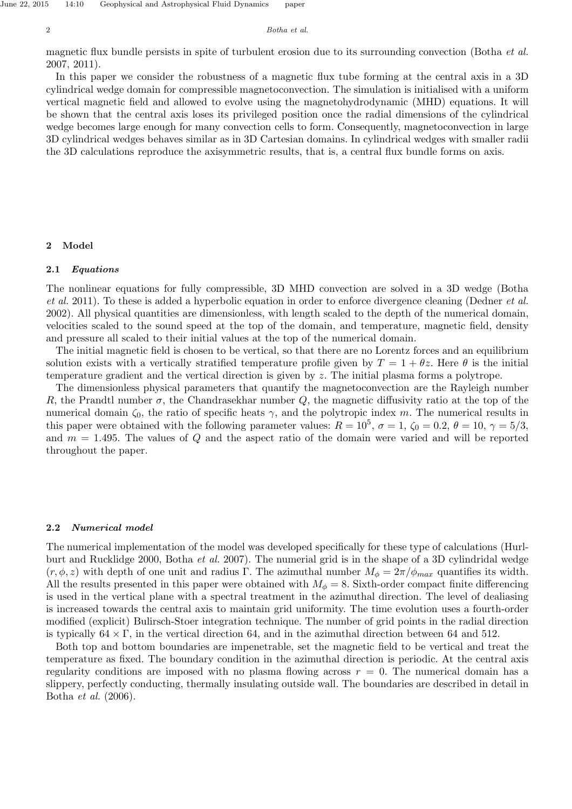#### 2 Botha et al.

magnetic flux bundle persists in spite of turbulent erosion due to its surrounding convection (Botha et al. 2007, 2011).

In this paper we consider the robustness of a magnetic flux tube forming at the central axis in a 3D cylindrical wedge domain for compressible magnetoconvection. The simulation is initialised with a uniform vertical magnetic field and allowed to evolve using the magnetohydrodynamic (MHD) equations. It will be shown that the central axis loses its privileged position once the radial dimensions of the cylindrical wedge becomes large enough for many convection cells to form. Consequently, magnetoconvection in large 3D cylindrical wedges behaves similar as in 3D Cartesian domains. In cylindrical wedges with smaller radii the 3D calculations reproduce the axisymmetric results, that is, a central flux bundle forms on axis.

# 2 Model

## 2.1 Equations

The nonlinear equations for fully compressible, 3D MHD convection are solved in a 3D wedge (Botha et al. 2011). To these is added a hyperbolic equation in order to enforce divergence cleaning (Dedner et al. 2002). All physical quantities are dimensionless, with length scaled to the depth of the numerical domain, velocities scaled to the sound speed at the top of the domain, and temperature, magnetic field, density and pressure all scaled to their initial values at the top of the numerical domain.

The initial magnetic field is chosen to be vertical, so that there are no Lorentz forces and an equilibrium solution exists with a vertically stratified temperature profile given by  $T = 1 + \theta z$ . Here  $\theta$  is the initial temperature gradient and the vertical direction is given by z. The initial plasma forms a polytrope.

The dimensionless physical parameters that quantify the magnetoconvection are the Rayleigh number R, the Prandtl number  $\sigma$ , the Chandrasekhar number Q, the magnetic diffusivity ratio at the top of the numerical domain  $\zeta_0$ , the ratio of specific heats  $\gamma$ , and the polytropic index m. The numerical results in this paper were obtained with the following parameter values:  $R = 10^5$ ,  $\sigma = 1$ ,  $\zeta_0 = 0.2$ ,  $\theta = 10$ ,  $\gamma = 5/3$ , and  $m = 1.495$ . The values of Q and the aspect ratio of the domain were varied and will be reported throughout the paper.

#### 2.2 Numerical model

The numerical implementation of the model was developed specifically for these type of calculations (Hurlburt and Rucklidge 2000, Botha et al. 2007). The numerial grid is in the shape of a 3D cylindridal wedge  $(r, \phi, z)$  with depth of one unit and radius Γ. The azimuthal number  $M_{\phi} = 2\pi/\phi_{max}$  quantifies its width. All the results presented in this paper were obtained with  $M_{\phi} = 8$ . Sixth-order compact finite differencing is used in the vertical plane with a spectral treatment in the azimuthal direction. The level of dealiasing is increased towards the central axis to maintain grid uniformity. The time evolution uses a fourth-order modified (explicit) Bulirsch-Stoer integration technique. The number of grid points in the radial direction is typically  $64 \times \Gamma$ , in the vertical direction 64, and in the azimuthal direction between 64 and 512.

Both top and bottom boundaries are impenetrable, set the magnetic field to be vertical and treat the temperature as fixed. The boundary condition in the azimuthal direction is periodic. At the central axis regularity conditions are imposed with no plasma flowing across  $r = 0$ . The numerical domain has a slippery, perfectly conducting, thermally insulating outside wall. The boundaries are described in detail in Botha et al. (2006).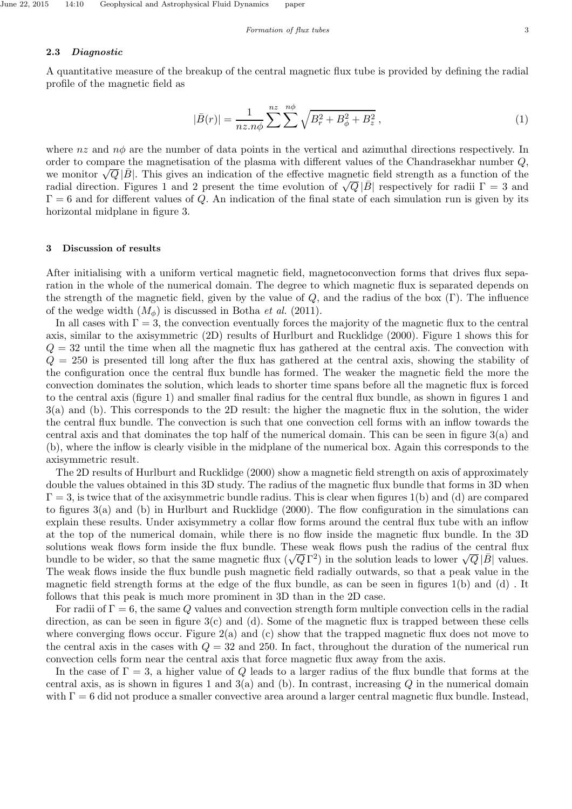#### 2.3 Diagnostic

A quantitative measure of the breakup of the central magnetic flux tube is provided by defining the radial profile of the magnetic field as

$$
|\bar{B}(r)| = \frac{1}{nz.n\phi} \sum_{r}^{nz} \sum_{r}^{n\phi} \sqrt{B_r^2 + B_\phi^2 + B_z^2},\tag{1}
$$

where  $nz$  and  $n\phi$  are the number of data points in the vertical and azimuthal directions respectively. In order to compare the magnetisation of the plasma with different values of the Chandrasekhar number Q, we monitor  $\sqrt{Q}|\vec{B}|$ . This gives an indication of the effective magnetic field strength as a function of the radial direction. Figures 1 and 2 present the time evolution of  $\sqrt{Q}|\bar{B}|$  respectively for radii  $\Gamma = 3$  and  $\Gamma = 6$  and for different values of Q. An indication of the final state of each simulation run is given by its horizontal midplane in figure 3.

## 3 Discussion of results

After initialising with a uniform vertical magnetic field, magnetoconvection forms that drives flux separation in the whole of the numerical domain. The degree to which magnetic flux is separated depends on the strength of the magnetic field, given by the value of  $Q$ , and the radius of the box  $(Γ)$ . The influence of the wedge width  $(M_{\phi})$  is discussed in Botha *et al.* (2011).

In all cases with  $\Gamma = 3$ , the convection eventually forces the majority of the magnetic flux to the central axis, similar to the axisymmetric (2D) results of Hurlburt and Rucklidge (2000). Figure 1 shows this for  $Q = 32$  until the time when all the magnetic flux has gathered at the central axis. The convection with  $Q = 250$  is presented till long after the flux has gathered at the central axis, showing the stability of the configuration once the central flux bundle has formed. The weaker the magnetic field the more the convection dominates the solution, which leads to shorter time spans before all the magnetic flux is forced to the central axis (figure 1) and smaller final radius for the central flux bundle, as shown in figures 1 and 3(a) and (b). This corresponds to the 2D result: the higher the magnetic flux in the solution, the wider the central flux bundle. The convection is such that one convection cell forms with an inflow towards the central axis and that dominates the top half of the numerical domain. This can be seen in figure 3(a) and (b), where the inflow is clearly visible in the midplane of the numerical box. Again this corresponds to the axisymmetric result.

The 2D results of Hurlburt and Rucklidge (2000) show a magnetic field strength on axis of approximately double the values obtained in this 3D study. The radius of the magnetic flux bundle that forms in 3D when  $\Gamma = 3$ , is twice that of the axisymmetric bundle radius. This is clear when figures 1(b) and (d) are compared to figures 3(a) and (b) in Hurlburt and Rucklidge (2000). The flow configuration in the simulations can explain these results. Under axisymmetry a collar flow forms around the central flux tube with an inflow at the top of the numerical domain, while there is no flow inside the magnetic flux bundle. In the 3D solutions weak flows form inside the flux bundle. These weak flows push the radius of the central flux bundle to be wider, so that the same magnetic flux  $(\sqrt{Q}\Gamma^2)$  in the solution leads to lower  $\sqrt{Q}|\overline{B}|$  values. The weak flows inside the flux bundle push magnetic field radially outwards, so that a peak value in the magnetic field strength forms at the edge of the flux bundle, as can be seen in figures 1(b) and (d) . It follows that this peak is much more prominent in 3D than in the 2D case.

For radii of  $\Gamma = 6$ , the same Q values and convection strength form multiple convection cells in the radial direction, as can be seen in figure  $3(c)$  and (d). Some of the magnetic flux is trapped between these cells where converging flows occur. Figure 2(a) and (c) show that the trapped magnetic flux does not move to the central axis in the cases with  $Q = 32$  and 250. In fact, throughout the duration of the numerical run convection cells form near the central axis that force magnetic flux away from the axis.

In the case of  $\Gamma = 3$ , a higher value of Q leads to a larger radius of the flux bundle that forms at the central axis, as is shown in figures 1 and  $3(a)$  and (b). In contrast, increasing Q in the numerical domain with  $\Gamma = 6$  did not produce a smaller convective area around a larger central magnetic flux bundle. Instead,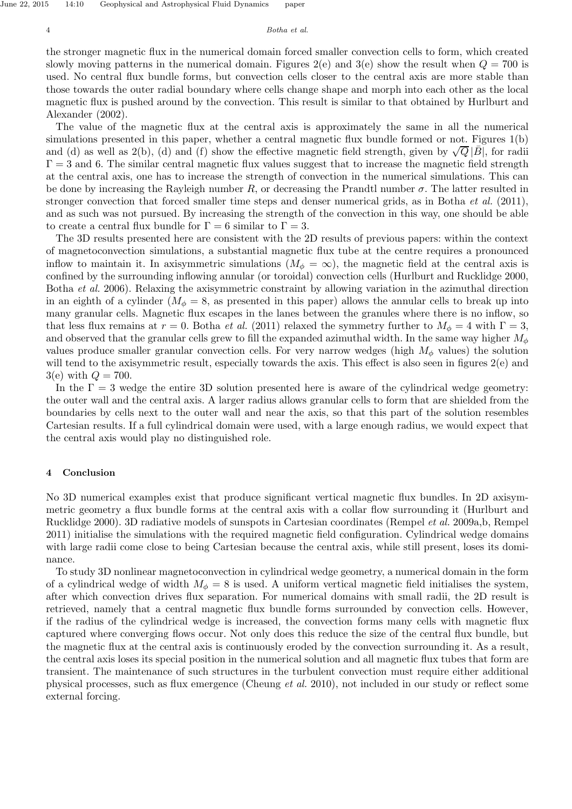#### 4 Botha et al.

the stronger magnetic flux in the numerical domain forced smaller convection cells to form, which created slowly moving patterns in the numerical domain. Figures  $2(e)$  and  $3(e)$  show the result when  $Q = 700$  is used. No central flux bundle forms, but convection cells closer to the central axis are more stable than those towards the outer radial boundary where cells change shape and morph into each other as the local magnetic flux is pushed around by the convection. This result is similar to that obtained by Hurlburt and Alexander (2002).

The value of the magnetic flux at the central axis is approximately the same in all the numerical simulations presented in this paper, whether a central magnetic flux bundle formed or not. Figures 1(b) and (d) as well as 2(b), (d) and (f) show the effective magnetic field strength, given by  $\sqrt{Q}|\vec{B}|$ , for radii  $\Gamma = 3$  and 6. The similar central magnetic flux values suggest that to increase the magnetic field strength at the central axis, one has to increase the strength of convection in the numerical simulations. This can be done by increasing the Rayleigh number  $R$ , or decreasing the Prandtl number  $\sigma$ . The latter resulted in stronger convection that forced smaller time steps and denser numerical grids, as in Botha *et al.* (2011), and as such was not pursued. By increasing the strength of the convection in this way, one should be able to create a central flux bundle for  $\Gamma = 6$  similar to  $\Gamma = 3$ .

The 3D results presented here are consistent with the 2D results of previous papers: within the context of magnetoconvection simulations, a substantial magnetic flux tube at the centre requires a pronounced inflow to maintain it. In axisymmetric simulations  $(M_\phi = \infty)$ , the magnetic field at the central axis is confined by the surrounding inflowing annular (or toroidal) convection cells (Hurlburt and Rucklidge 2000, Botha et al. 2006). Relaxing the axisymmetric constraint by allowing variation in the azimuthal direction in an eighth of a cylinder  $(M_{\phi} = 8)$ , as presented in this paper) allows the annular cells to break up into many granular cells. Magnetic flux escapes in the lanes between the granules where there is no inflow, so that less flux remains at  $r = 0$ . Botha *et al.* (2011) relaxed the symmetry further to  $M_{\phi} = 4$  with  $\Gamma = 3$ , and observed that the granular cells grew to fill the expanded azimuthal width. In the same way higher  $M_{\phi}$ values produce smaller granular convection cells. For very narrow wedges (high  $M_{\phi}$  values) the solution will tend to the axisymmetric result, especially towards the axis. This effect is also seen in figures  $2(e)$  and  $3(e)$  with  $Q = 700$ .

In the  $\Gamma = 3$  wedge the entire 3D solution presented here is aware of the cylindrical wedge geometry: the outer wall and the central axis. A larger radius allows granular cells to form that are shielded from the boundaries by cells next to the outer wall and near the axis, so that this part of the solution resembles Cartesian results. If a full cylindrical domain were used, with a large enough radius, we would expect that the central axis would play no distinguished role.

### 4 Conclusion

No 3D numerical examples exist that produce significant vertical magnetic flux bundles. In 2D axisymmetric geometry a flux bundle forms at the central axis with a collar flow surrounding it (Hurlburt and Rucklidge 2000). 3D radiative models of sunspots in Cartesian coordinates (Rempel et al. 2009a,b, Rempel 2011) initialise the simulations with the required magnetic field configuration. Cylindrical wedge domains with large radii come close to being Cartesian because the central axis, while still present, loses its dominance.

To study 3D nonlinear magnetoconvection in cylindrical wedge geometry, a numerical domain in the form of a cylindrical wedge of width  $M_{\phi} = 8$  is used. A uniform vertical magnetic field initialises the system, after which convection drives flux separation. For numerical domains with small radii, the 2D result is retrieved, namely that a central magnetic flux bundle forms surrounded by convection cells. However, if the radius of the cylindrical wedge is increased, the convection forms many cells with magnetic flux captured where converging flows occur. Not only does this reduce the size of the central flux bundle, but the magnetic flux at the central axis is continuously eroded by the convection surrounding it. As a result, the central axis loses its special position in the numerical solution and all magnetic flux tubes that form are transient. The maintenance of such structures in the turbulent convection must require either additional physical processes, such as flux emergence (Cheung et al. 2010), not included in our study or reflect some external forcing.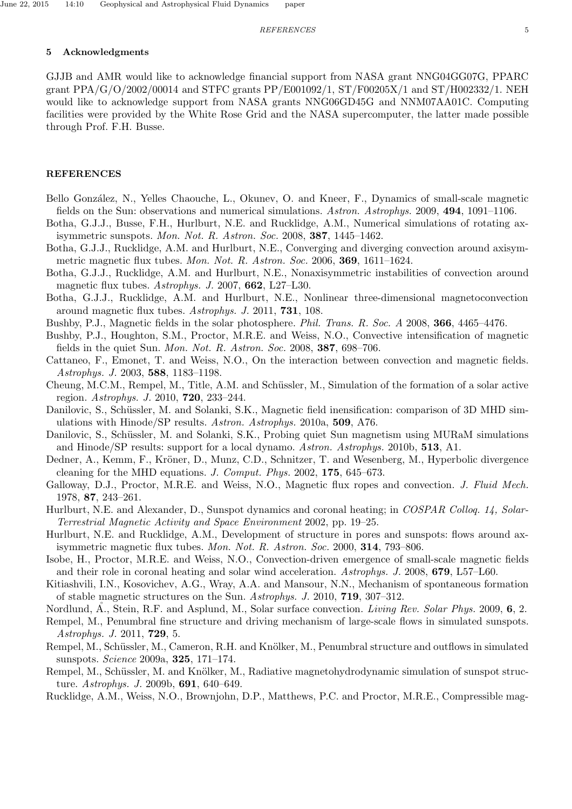# 5 Acknowledgments

GJJB and AMR would like to acknowledge financial support from NASA grant NNG04GG07G, PPARC grant PPA/G/O/2002/00014 and STFC grants PP/E001092/1, ST/F00205X/1 and ST/H002332/1. NEH would like to acknowledge support from NASA grants NNG06GD45G and NNM07AA01C. Computing facilities were provided by the White Rose Grid and the NASA supercomputer, the latter made possible through Prof. F.H. Busse.

# REFERENCES

- Bello González, N., Yelles Chaouche, L., Okunev, O. and Kneer, F., Dynamics of small-scale magnetic fields on the Sun: observations and numerical simulations. Astron. Astrophys. 2009, 494, 1091–1106.
- Botha, G.J.J., Busse, F.H., Hurlburt, N.E. and Rucklidge, A.M., Numerical simulations of rotating axisymmetric sunspots. Mon. Not. R. Astron. Soc. 2008, 387, 1445–1462.
- Botha, G.J.J., Rucklidge, A.M. and Hurlburt, N.E., Converging and diverging convection around axisymmetric magnetic flux tubes. Mon. Not. R. Astron. Soc. 2006, 369, 1611–1624.
- Botha, G.J.J., Rucklidge, A.M. and Hurlburt, N.E., Nonaxisymmetric instabilities of convection around magnetic flux tubes. Astrophys. J. 2007,  $662$ , L27–L30.
- Botha, G.J.J., Rucklidge, A.M. and Hurlburt, N.E., Nonlinear three-dimensional magnetoconvection around magnetic flux tubes. Astrophys. J. 2011, 731, 108.
- Bushby, P.J., Magnetic fields in the solar photosphere. Phil. Trans. R. Soc. A 2008, 366, 4465–4476.
- Bushby, P.J., Houghton, S.M., Proctor, M.R.E. and Weiss, N.O., Convective intensification of magnetic fields in the quiet Sun. Mon. Not. R. Astron. Soc. 2008, 387, 698–706.
- Cattaneo, F., Emonet, T. and Weiss, N.O., On the interaction between convection and magnetic fields. Astrophys. J. 2003, 588, 1183–1198.
- Cheung, M.C.M., Rempel, M., Title, A.M. and Schüssler, M., Simulation of the formation of a solar active region.  $A \, stronglys. J. 2010, 720, 233-244.$
- Danilovic, S., Schüssler, M. and Solanki, S.K., Magnetic field inensification: comparison of 3D MHD simulations with Hinode/SP results. Astron. Astrophys. 2010a, 509, A76.
- Danilovic, S., Schüssler, M. and Solanki, S.K., Probing quiet Sun magnetism using MURaM simulations and Hinode/SP results: support for a local dynamo. Astron. Astrophys. 2010b, 513, A1.
- Dedner, A., Kemm, F., Kröner, D., Munz, C.D., Schnitzer, T. and Wesenberg, M., Hyperbolic divergence cleaning for the MHD equations. J. Comput. Phys. 2002, 175, 645–673.
- Galloway, D.J., Proctor, M.R.E. and Weiss, N.O., Magnetic flux ropes and convection. J. Fluid Mech. 1978, 87, 243–261.
- Hurlburt, N.E. and Alexander, D., Sunspot dynamics and coronal heating; in COSPAR Colloq. 14, Solar-Terrestrial Magnetic Activity and Space Environment 2002, pp. 19–25.
- Hurlburt, N.E. and Rucklidge, A.M., Development of structure in pores and sunspots: flows around axisymmetric magnetic flux tubes. Mon. Not. R. Astron. Soc. 2000, 314, 793–806.
- Isobe, H., Proctor, M.R.E. and Weiss, N.O., Convection-driven emergence of small-scale magnetic fields and their role in coronal heating and solar wind acceleration. Astrophys. J. 2008, 679, L57–L60.
- Kitiashvili, I.N., Kosovichev, A.G., Wray, A.A. and Mansour, N.N., Mechanism of spontaneous formation of stable magnetic structures on the Sun. Astrophys. J. 2010, 719, 307–312.
- Nordlund, A., Stein, R.F. and Asplund, M., Solar surface convection. *Living Rev. Solar Phys.* 2009, 6, 2.
- Rempel, M., Penumbral fine structure and driving mechanism of large-scale flows in simulated sunspots. Astrophys. J. 2011, 729, 5.
- Rempel, M., Schüssler, M., Cameron, R.H. and Knölker, M., Penumbral structure and outflows in simulated sunspots. Science 2009a, 325, 171–174.
- Rempel, M., Schüssler, M. and Knölker, M., Radiative magnetohydrodynamic simulation of sunspot structure. Astrophys. J. 2009b, 691, 640–649.
- Rucklidge, A.M., Weiss, N.O., Brownjohn, D.P., Matthews, P.C. and Proctor, M.R.E., Compressible mag-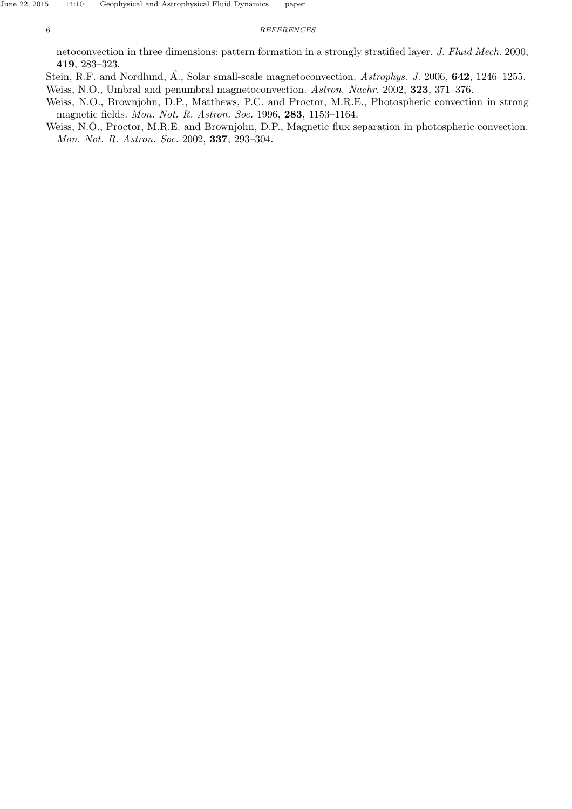## 6 REFERENCES

netoconvection in three dimensions: pattern formation in a strongly stratified layer. J. Fluid Mech. 2000, 419, 283–323.

- Stein, R.F. and Nordlund, A., Solar small-scale magnetoconvection. Astrophys. J. 2006, 642, 1246–1255.
- Weiss, N.O., Umbral and penumbral magnetoconvection. Astron. Nachr. 2002, 323, 371–376.
- Weiss, N.O., Brownjohn, D.P., Matthews, P.C. and Proctor, M.R.E., Photospheric convection in strong magnetic fields. Mon. Not. R. Astron. Soc. 1996, 283, 1153–1164.
- Weiss, N.O., Proctor, M.R.E. and Brownjohn, D.P., Magnetic flux separation in photospheric convection. Mon. Not. R. Astron. Soc. 2002, 337, 293–304.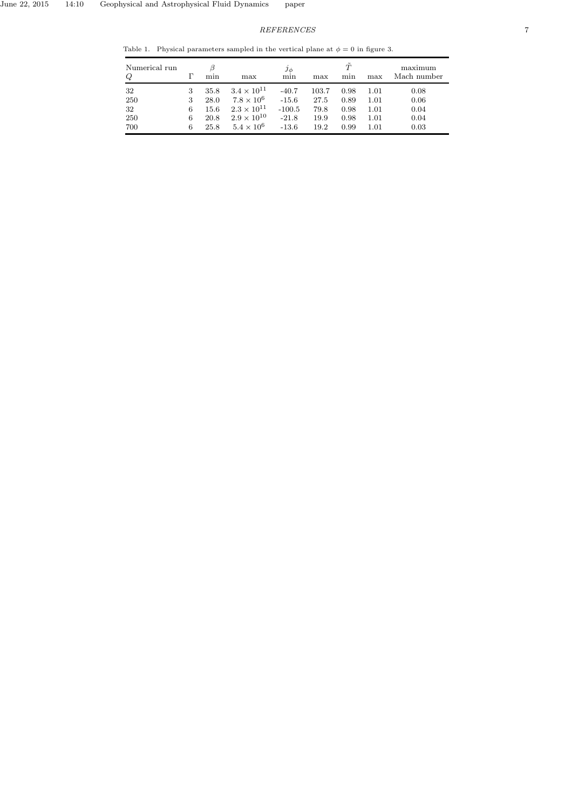Table 1. Physical parameters sampled in the vertical plane at  $\phi = 0$  in figure 3.

| Numerical run<br>Q            |                  | min                                  | max                                                                                                            | $\jmath_{\phi}$<br>min                               | max                                   | T<br>mın                             | max                                  | maximum<br>Mach number               |
|-------------------------------|------------------|--------------------------------------|----------------------------------------------------------------------------------------------------------------|------------------------------------------------------|---------------------------------------|--------------------------------------|--------------------------------------|--------------------------------------|
| 32<br>250<br>32<br>250<br>700 | 3<br>6<br>6<br>6 | 35.8<br>28.0<br>15.6<br>20.8<br>25.8 | $3.4 \times 10^{11}$<br>$7.8 \times 10^6$<br>$2.3 \times 10^{11}$<br>$2.9 \times 10^{10}$<br>$5.4 \times 10^6$ | $-40.7$<br>$-15.6$<br>$-100.5$<br>$-21.8$<br>$-13.6$ | 103.7<br>27.5<br>79.8<br>19.9<br>19.2 | 0.98<br>0.89<br>0.98<br>0.98<br>0.99 | 1.01<br>1.01<br>1.01<br>1.01<br>1.01 | 0.08<br>0.06<br>0.04<br>0.04<br>0.03 |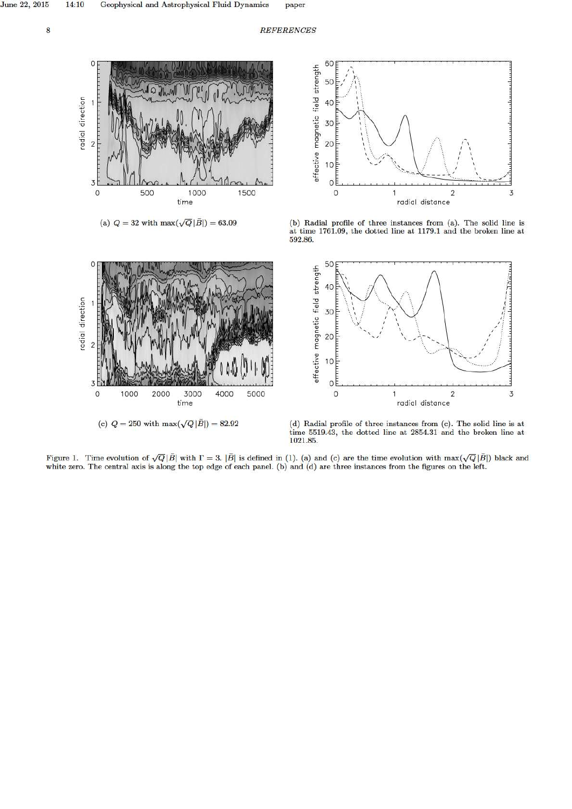8

**REFERENCES** 

paper





 $\circ$ 



(b) Radial profile of three instances from (a). The solid line is at time  $1761.09$ , the dotted line at  $1179.1$  and the broken line at  $592.86$ .





(c)  $Q = 250$  with  $\max(\sqrt{Q}|\bar{B}|) = 82.92$ 

(d) Radial profile of three instances from (c). The solid line is at time 5519.43, the dotted line at 2854.31 and the broken line at 1021.85.

Figure 1. Time evolution of  $\sqrt{Q}|\bar{B}|$  with  $\Gamma = 3$ .  $|\bar{B}|$  is defined in (1). (a) and (c) are the time evolution with  $\max(\sqrt{Q}|\bar{B}|)$  black and white zero. The central axis is along the top edge of each panel. (b) and (d) are three instances from the figures on the left.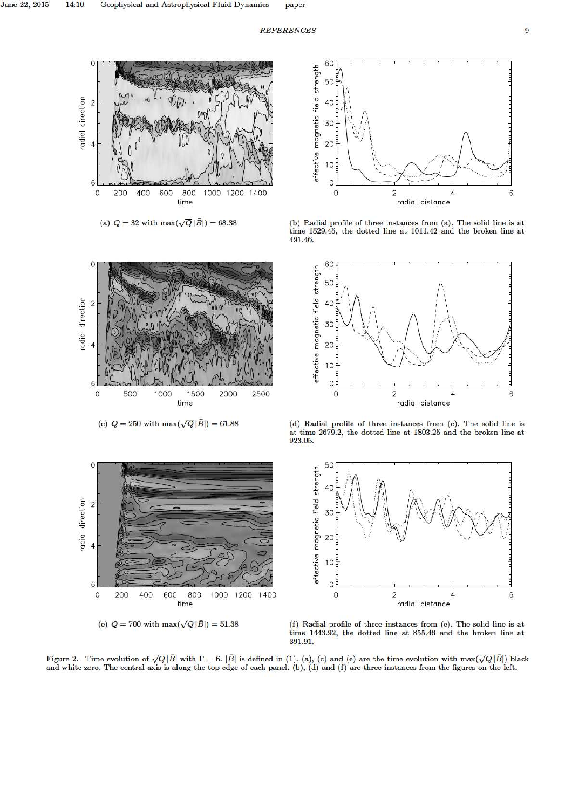paper



(a)  $Q = 32$  with max( $\sqrt{Q}|\bar{B}|$ ) = 68.38



(c)  $Q = 250$  with  $\max(\sqrt{Q}|\bar{B}|) = 61.88$ 



(b) Radial profile of three instances from (a). The solid line is at time  $1529.45$ , the dotted line at  $1011.42$  and the broken line at 491.46.



(d) Radial profile of three instances from (c). The solid line is at time 2679.2, the dotted line at  $1803.25$  and the broken line at  $2679.2$ , the dotted line at  $1803.25$  and the broken line at



(e)  $Q = 700$  with  $\max(\sqrt{Q}|\bar{B}|) = 51.38$ 



(f) Radial profile of three instances from (e). The solid line is at time 1443.92, the dotted line at 855.46 and the broken line at  $391.91$ .

Figure 2. Time evolution of  $\sqrt{Q}|\overline{B}|$  with  $\Gamma = 6$ .  $|\overline{B}|$  is defined in (1). (a), (c) and (e) are the time evolution with  $\max(\sqrt{Q}|\overline{B}|)$  black and white zero. The central axis is along the top edge of each panel.